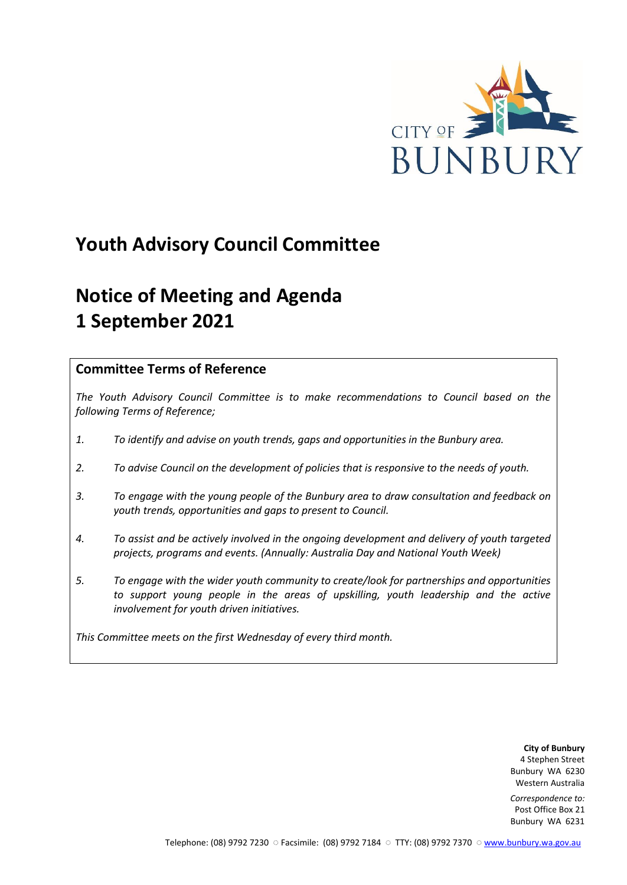

# **Youth Advisory Council Committee**

# **Notice of Meeting and Agenda 1 September 2021**

# **Committee Terms of Reference**

*The Youth Advisory Council Committee is to make recommendations to Council based on the following Terms of Reference;*

- *1. To identify and advise on youth trends, gaps and opportunities in the Bunbury area.*
- *2. To advise Council on the development of policies that is responsive to the needs of youth.*
- *3. To engage with the young people of the Bunbury area to draw consultation and feedback on youth trends, opportunities and gaps to present to Council.*
- *4. To assist and be actively involved in the ongoing development and delivery of youth targeted projects, programs and events. (Annually: Australia Day and National Youth Week)*
- *5. To engage with the wider youth community to create/look for partnerships and opportunities*  to support young people in the areas of upskilling, youth leadership and the active *involvement for youth driven initiatives.*

*This Committee meets on the first Wednesday of every third month.*

**City of Bunbury** 4 Stephen Street Bunbury WA 6230 Western Australia

*Correspondence to:* Post Office Box 21 Bunbury WA 6231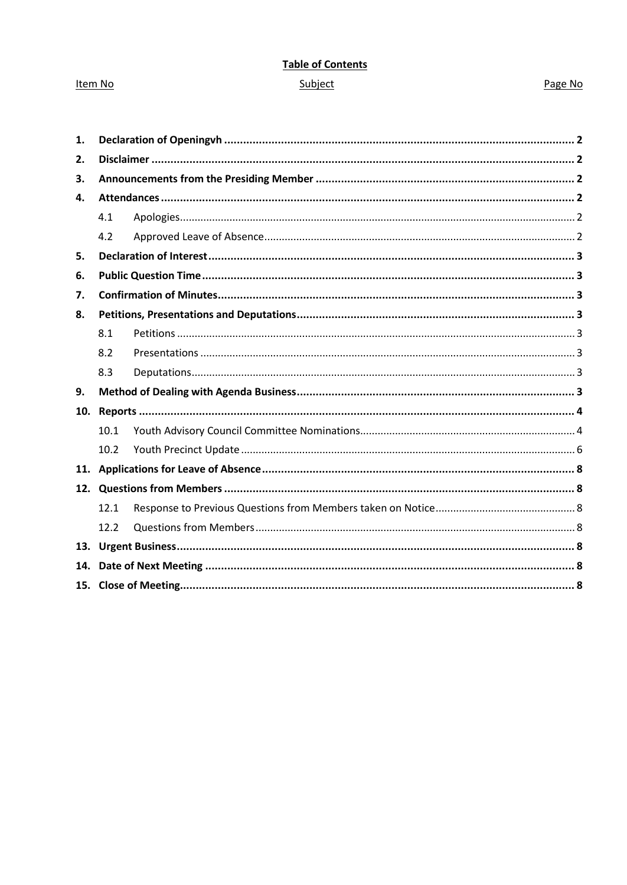# **Table of Contents** Subject

## Item No

## Page No

| 1.  |      |  |  |  |
|-----|------|--|--|--|
| 2.  |      |  |  |  |
| 3.  |      |  |  |  |
| 4.  |      |  |  |  |
|     | 4.1  |  |  |  |
|     | 4.2  |  |  |  |
| 5.  |      |  |  |  |
| 6.  |      |  |  |  |
| 7.  |      |  |  |  |
| 8.  |      |  |  |  |
|     | 8.1  |  |  |  |
|     | 8.2  |  |  |  |
|     | 8.3  |  |  |  |
| 9.  |      |  |  |  |
| 10. |      |  |  |  |
|     | 10.1 |  |  |  |
|     | 10.2 |  |  |  |
|     |      |  |  |  |
|     |      |  |  |  |
|     | 12.1 |  |  |  |
|     | 12.2 |  |  |  |
|     |      |  |  |  |
| 14. |      |  |  |  |
|     |      |  |  |  |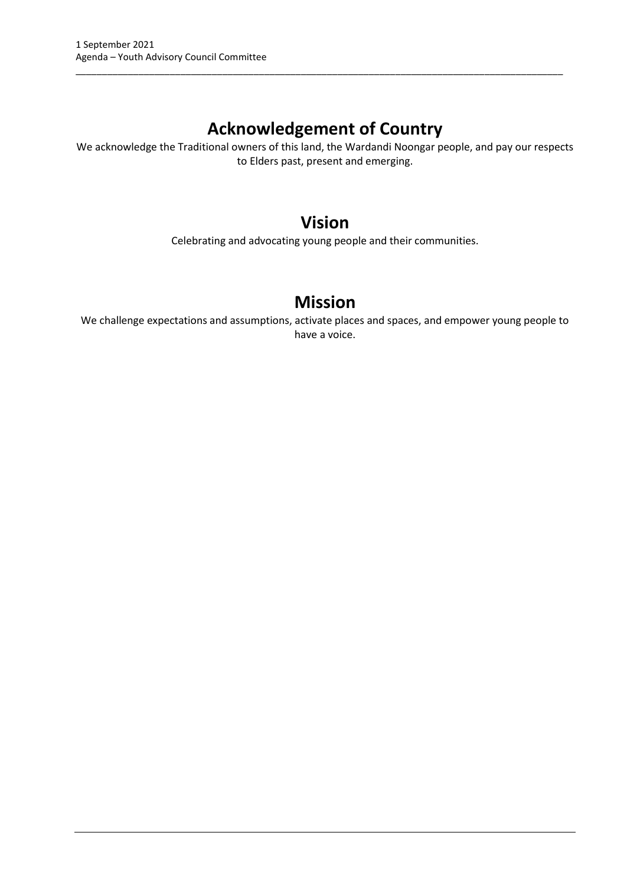# **Acknowledgement of Country**

\_\_\_\_\_\_\_\_\_\_\_\_\_\_\_\_\_\_\_\_\_\_\_\_\_\_\_\_\_\_\_\_\_\_\_\_\_\_\_\_\_\_\_\_\_\_\_\_\_\_\_\_\_\_\_\_\_\_\_\_\_\_\_\_\_\_\_\_\_\_\_\_\_\_\_\_\_\_\_\_\_\_\_\_\_\_\_\_\_\_\_\_\_

We acknowledge the Traditional owners of this land, the Wardandi Noongar people, and pay our respects to Elders past, present and emerging.

# **Vision**

Celebrating and advocating young people and their communities.

# **Mission**

We challenge expectations and assumptions, activate places and spaces, and empower young people to have a voice.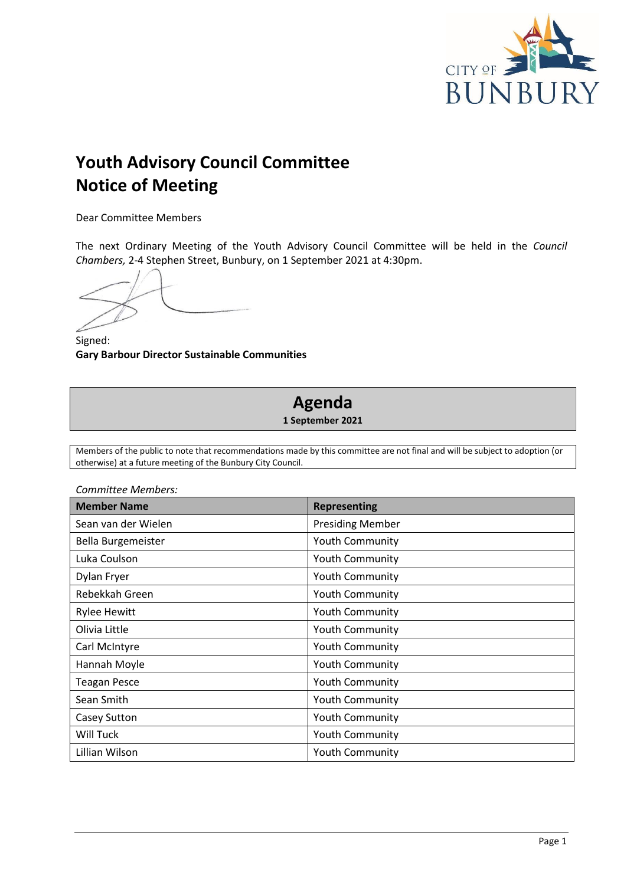

# **Youth Advisory Council Committee Notice of Meeting**

Dear Committee Members

The next Ordinary Meeting of the Youth Advisory Council Committee will be held in the *Council Chambers,* 2-4 Stephen Street, Bunbury, on 1 September 2021 at 4:30pm.

Signed: **Gary Barbour Director Sustainable Communities**

# **Agenda 1 September 2021**

Members of the public to note that recommendations made by this committee are not final and will be subject to adoption (or otherwise) at a future meeting of the Bunbury City Council.

| <b>Member Name</b>  | <b>Representing</b>     |  |  |
|---------------------|-------------------------|--|--|
| Sean van der Wielen | <b>Presiding Member</b> |  |  |
| Bella Burgemeister  | <b>Youth Community</b>  |  |  |
| Luka Coulson        | <b>Youth Community</b>  |  |  |
| Dylan Fryer         | Youth Community         |  |  |
| Rebekkah Green      | <b>Youth Community</b>  |  |  |
| <b>Rylee Hewitt</b> | <b>Youth Community</b>  |  |  |
| Olivia Little       | <b>Youth Community</b>  |  |  |
| Carl McIntyre       | <b>Youth Community</b>  |  |  |
| Hannah Moyle        | Youth Community         |  |  |
| <b>Teagan Pesce</b> | <b>Youth Community</b>  |  |  |
| Sean Smith          | <b>Youth Community</b>  |  |  |
| Casey Sutton        | <b>Youth Community</b>  |  |  |
| Will Tuck           | <b>Youth Community</b>  |  |  |
| Lillian Wilson      | <b>Youth Community</b>  |  |  |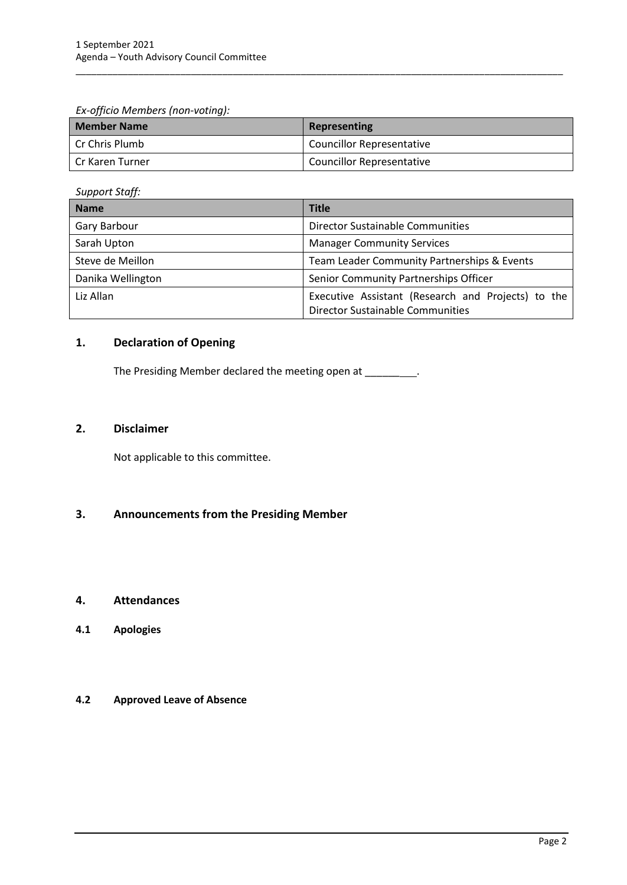*Ex-officio Members (non-voting):*

| <b>Member Name</b> | Representing                     |
|--------------------|----------------------------------|
| l Cr Chris Plumb   | <b>Councillor Representative</b> |
| l Cr Karen Turner  | <b>Councillor Representative</b> |

\_\_\_\_\_\_\_\_\_\_\_\_\_\_\_\_\_\_\_\_\_\_\_\_\_\_\_\_\_\_\_\_\_\_\_\_\_\_\_\_\_\_\_\_\_\_\_\_\_\_\_\_\_\_\_\_\_\_\_\_\_\_\_\_\_\_\_\_\_\_\_\_\_\_\_\_\_\_\_\_\_\_\_\_\_\_\_\_\_\_\_\_\_

*Support Staff:*

| <b>Name</b>       | <b>Title</b>                                                                                  |
|-------------------|-----------------------------------------------------------------------------------------------|
| Gary Barbour      | <b>Director Sustainable Communities</b>                                                       |
| Sarah Upton       | <b>Manager Community Services</b>                                                             |
| Steve de Meillon  | Team Leader Community Partnerships & Events                                                   |
| Danika Wellington | Senior Community Partnerships Officer                                                         |
| Liz Allan         | Executive Assistant (Research and Projects) to the<br><b>Director Sustainable Communities</b> |

# <span id="page-4-0"></span>**1. Declaration of Opening**

The Presiding Member declared the meeting open at \_\_\_\_\_\_\_\_.

# <span id="page-4-1"></span>**2. Disclaimer**

Not applicable to this committee.

# <span id="page-4-2"></span>**3. Announcements from the Presiding Member**

### <span id="page-4-3"></span>**4. Attendances**

<span id="page-4-4"></span>**4.1 Apologies**

## <span id="page-4-5"></span>**4.2 Approved Leave of Absence**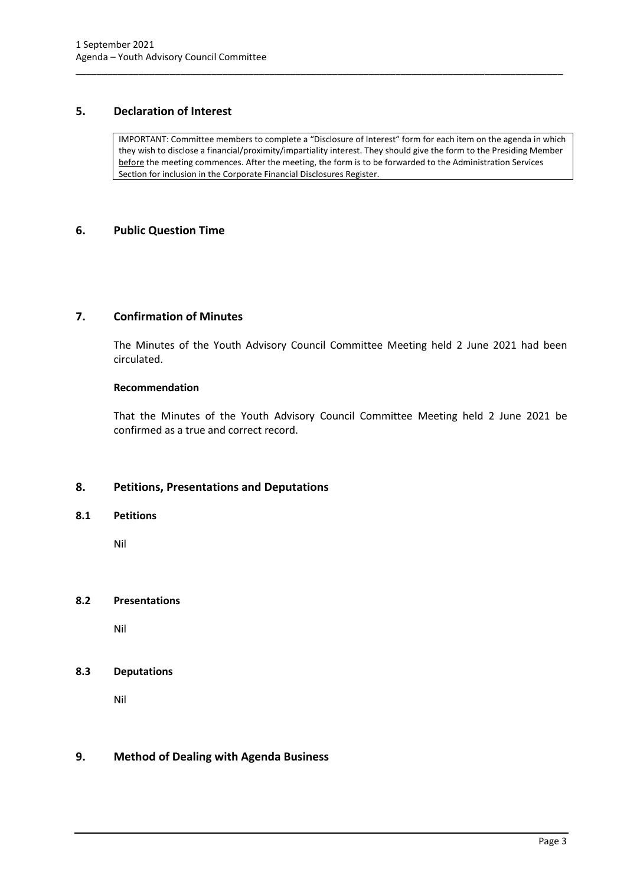# <span id="page-5-0"></span>**5. Declaration of Interest**

IMPORTANT: Committee members to complete a "Disclosure of Interest" form for each item on the agenda in which they wish to disclose a financial/proximity/impartiality interest. They should give the form to the Presiding Member before the meeting commences. After the meeting, the form is to be forwarded to the Administration Services Section for inclusion in the Corporate Financial Disclosures Register.

\_\_\_\_\_\_\_\_\_\_\_\_\_\_\_\_\_\_\_\_\_\_\_\_\_\_\_\_\_\_\_\_\_\_\_\_\_\_\_\_\_\_\_\_\_\_\_\_\_\_\_\_\_\_\_\_\_\_\_\_\_\_\_\_\_\_\_\_\_\_\_\_\_\_\_\_\_\_\_\_\_\_\_\_\_\_\_\_\_\_\_\_\_

# <span id="page-5-1"></span>**6. Public Question Time**

# <span id="page-5-2"></span>**7. Confirmation of Minutes**

The Minutes of the Youth Advisory Council Committee Meeting held 2 June 2021 had been circulated.

## **Recommendation**

That the Minutes of the Youth Advisory Council Committee Meeting held 2 June 2021 be confirmed as a true and correct record.

# <span id="page-5-3"></span>**8. Petitions, Presentations and Deputations**

#### <span id="page-5-4"></span>**8.1 Petitions**

Nil

#### <span id="page-5-5"></span>**8.2 Presentations**

Nil

# <span id="page-5-6"></span>**8.3 Deputations**

Nil

# <span id="page-5-7"></span>**9. Method of Dealing with Agenda Business**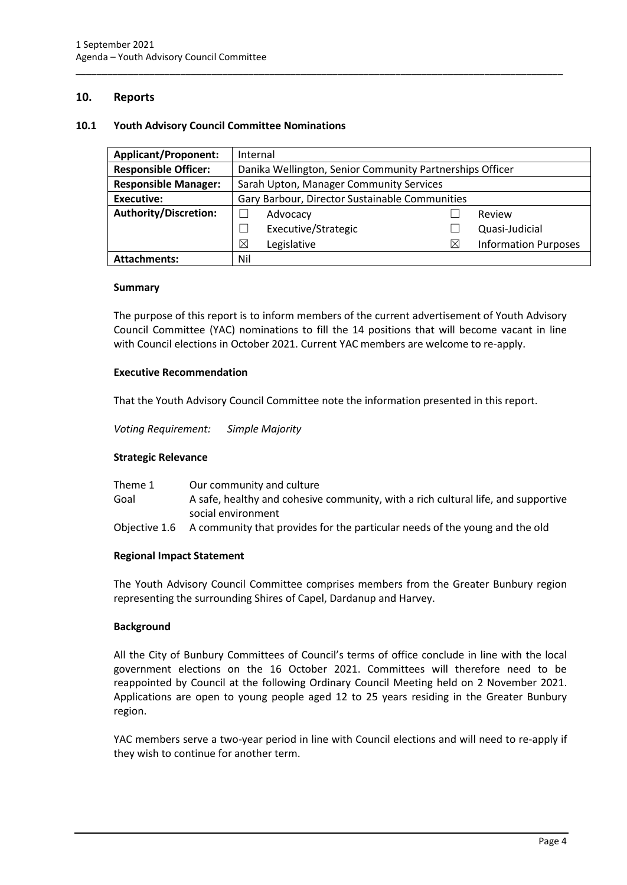## <span id="page-6-0"></span>**10. Reports**

#### <span id="page-6-1"></span>**10.1 Youth Advisory Council Committee Nominations**

| <b>Applicant/Proponent:</b>  | Internal                                                 |                     |             |                             |
|------------------------------|----------------------------------------------------------|---------------------|-------------|-----------------------------|
| <b>Responsible Officer:</b>  | Danika Wellington, Senior Community Partnerships Officer |                     |             |                             |
| <b>Responsible Manager:</b>  | Sarah Upton, Manager Community Services                  |                     |             |                             |
| <b>Executive:</b>            | Gary Barbour, Director Sustainable Communities           |                     |             |                             |
| <b>Authority/Discretion:</b> |                                                          | Advocacy            |             | Review                      |
|                              |                                                          | Executive/Strategic |             | Quasi-Judicial              |
|                              | ⊠                                                        | Legislative         | $\boxtimes$ | <b>Information Purposes</b> |
| <b>Attachments:</b>          | Nil                                                      |                     |             |                             |

\_\_\_\_\_\_\_\_\_\_\_\_\_\_\_\_\_\_\_\_\_\_\_\_\_\_\_\_\_\_\_\_\_\_\_\_\_\_\_\_\_\_\_\_\_\_\_\_\_\_\_\_\_\_\_\_\_\_\_\_\_\_\_\_\_\_\_\_\_\_\_\_\_\_\_\_\_\_\_\_\_\_\_\_\_\_\_\_\_\_\_\_\_

#### **Summary**

The purpose of this report is to inform members of the current advertisement of Youth Advisory Council Committee (YAC) nominations to fill the 14 positions that will become vacant in line with Council elections in October 2021. Current YAC members are welcome to re-apply.

#### **Executive Recommendation**

That the Youth Advisory Council Committee note the information presented in this report.

*Voting Requirement: Simple Majority* 

#### **Strategic Relevance**

| Theme 1 | Our community and culture                                                                 |
|---------|-------------------------------------------------------------------------------------------|
| Goal    | A safe, healthy and cohesive community, with a rich cultural life, and supportive         |
|         | social environment                                                                        |
|         | Objective 1.6 A community that provides for the particular needs of the young and the old |

#### **Regional Impact Statement**

The Youth Advisory Council Committee comprises members from the Greater Bunbury region representing the surrounding Shires of Capel, Dardanup and Harvey.

#### **Background**

All the City of Bunbury Committees of Council's terms of office conclude in line with the local government elections on the 16 October 2021. Committees will therefore need to be reappointed by Council at the following Ordinary Council Meeting held on 2 November 2021. Applications are open to young people aged 12 to 25 years residing in the Greater Bunbury region.

YAC members serve a two-year period in line with Council elections and will need to re-apply if they wish to continue for another term.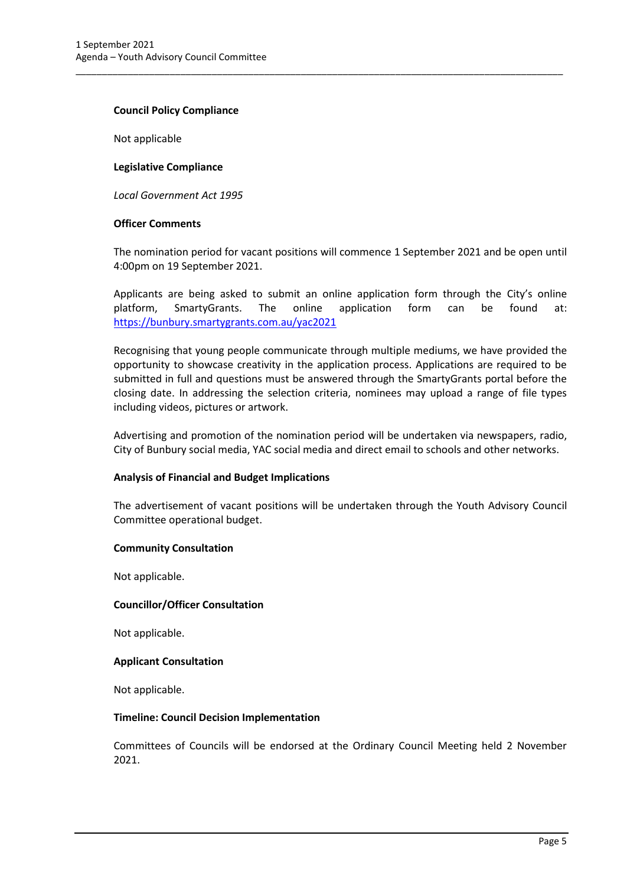#### **Council Policy Compliance**

Not applicable

#### **Legislative Compliance**

*Local Government Act 1995*

#### **Officer Comments**

The nomination period for vacant positions will commence 1 September 2021 and be open until 4:00pm on 19 September 2021.

\_\_\_\_\_\_\_\_\_\_\_\_\_\_\_\_\_\_\_\_\_\_\_\_\_\_\_\_\_\_\_\_\_\_\_\_\_\_\_\_\_\_\_\_\_\_\_\_\_\_\_\_\_\_\_\_\_\_\_\_\_\_\_\_\_\_\_\_\_\_\_\_\_\_\_\_\_\_\_\_\_\_\_\_\_\_\_\_\_\_\_\_\_

Applicants are being asked to submit an online application form through the City's online platform, SmartyGrants. The online application form can be found at: [https://bunbury.smartygrants.com.au/yac2](https://bunbury.smartygrants.com.au/yac)021

Recognising that young people communicate through multiple mediums, we have provided the opportunity to showcase creativity in the application process. Applications are required to be submitted in full and questions must be answered through the SmartyGrants portal before the closing date. In addressing the selection criteria, nominees may upload a range of file types including videos, pictures or artwork.

Advertising and promotion of the nomination period will be undertaken via newspapers, radio, City of Bunbury social media, YAC social media and direct email to schools and other networks.

#### **Analysis of Financial and Budget Implications**

The advertisement of vacant positions will be undertaken through the Youth Advisory Council Committee operational budget.

#### **Community Consultation**

Not applicable.

#### **Councillor/Officer Consultation**

Not applicable.

#### **Applicant Consultation**

Not applicable.

#### **Timeline: Council Decision Implementation**

Committees of Councils will be endorsed at the Ordinary Council Meeting held 2 November 2021.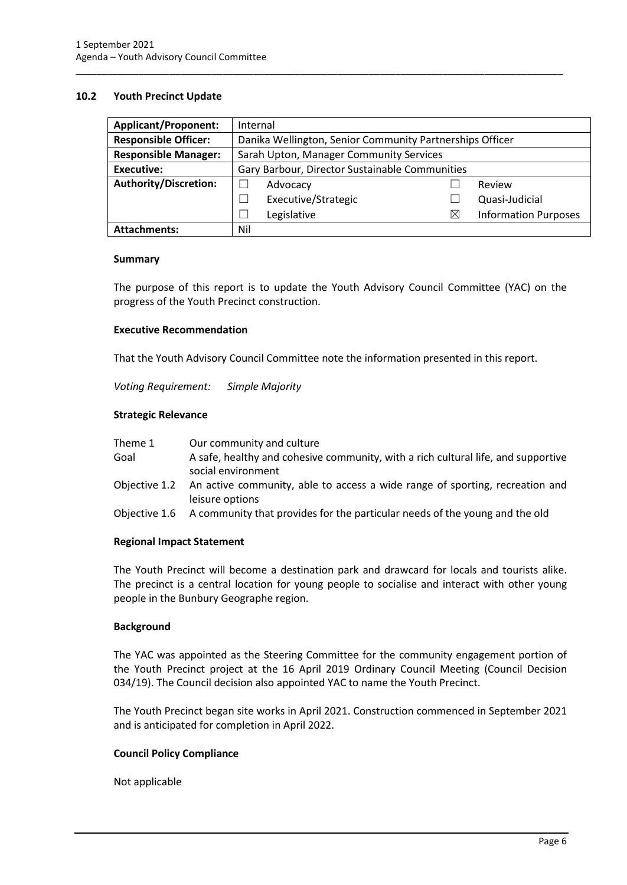#### <span id="page-8-0"></span>**10.2 Youth Precinct Update**

| <b>Applicant/Proponent:</b>  | Internal                                                 |                                         |   |  |                             |
|------------------------------|----------------------------------------------------------|-----------------------------------------|---|--|-----------------------------|
| <b>Responsible Officer:</b>  | Danika Wellington, Senior Community Partnerships Officer |                                         |   |  |                             |
| <b>Responsible Manager:</b>  |                                                          | Sarah Upton, Manager Community Services |   |  |                             |
| <b>Executive:</b>            | Gary Barbour, Director Sustainable Communities           |                                         |   |  |                             |
| <b>Authority/Discretion:</b> |                                                          | Advocacy                                |   |  | Review                      |
|                              |                                                          | Executive/Strategic                     |   |  | Quasi-Judicial              |
|                              |                                                          | Legislative                             | X |  | <b>Information Purposes</b> |
| <b>Attachments:</b>          | Nil                                                      |                                         |   |  |                             |

\_\_\_\_\_\_\_\_\_\_\_\_\_\_\_\_\_\_\_\_\_\_\_\_\_\_\_\_\_\_\_\_\_\_\_\_\_\_\_\_\_\_\_\_\_\_\_\_\_\_\_\_\_\_\_\_\_\_\_\_\_\_\_\_\_\_\_\_\_\_\_\_\_\_\_\_\_\_\_\_\_\_\_\_\_\_\_\_\_\_\_\_\_

#### **Summary**

The purpose of this report is to update the Youth Advisory Council Committee (YAC) on the progress of the Youth Precinct construction.

#### **Executive Recommendation**

That the Youth Advisory Council Committee note the information presented in this report.

*Voting Requirement: Simple Majority* 

#### **Strategic Relevance**

| Theme 1       | Our community and culture                                                                               |
|---------------|---------------------------------------------------------------------------------------------------------|
| Goal          | A safe, healthy and cohesive community, with a rich cultural life, and supportive<br>social environment |
| Objective 1.2 | An active community, able to access a wide range of sporting, recreation and<br>leisure options         |
|               | Objective 1.6 A community that provides for the particular needs of the young and the old               |

#### **Regional Impact Statement**

The Youth Precinct will become a destination park and drawcard for locals and tourists alike. The precinct is a central location for young people to socialise and interact with other young people in the Bunbury Geographe region.

#### **Background**

The YAC was appointed as the Steering Committee for the community engagement portion of the Youth Precinct project at the 16 April 2019 Ordinary Council Meeting (Council Decision 034/19). The Council decision also appointed YAC to name the Youth Precinct.

The Youth Precinct began site works in April 2021. Construction commenced in September 2021 and is anticipated for completion in April 2022.

#### **Council Policy Compliance**

Not applicable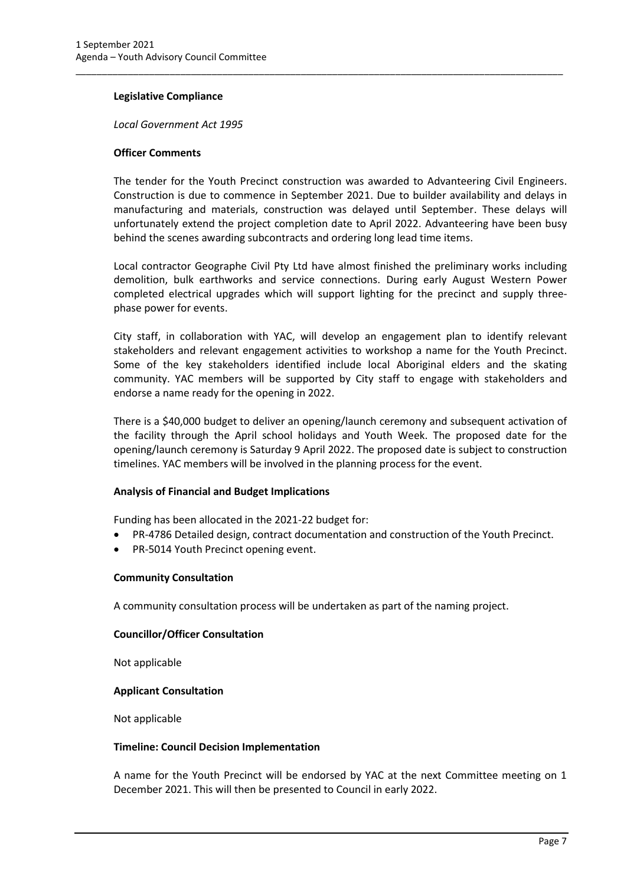#### **Legislative Compliance**

*Local Government Act 1995*

#### **Officer Comments**

The tender for the Youth Precinct construction was awarded to Advanteering Civil Engineers. Construction is due to commence in September 2021. Due to builder availability and delays in manufacturing and materials, construction was delayed until September. These delays will unfortunately extend the project completion date to April 2022. Advanteering have been busy behind the scenes awarding subcontracts and ordering long lead time items.

\_\_\_\_\_\_\_\_\_\_\_\_\_\_\_\_\_\_\_\_\_\_\_\_\_\_\_\_\_\_\_\_\_\_\_\_\_\_\_\_\_\_\_\_\_\_\_\_\_\_\_\_\_\_\_\_\_\_\_\_\_\_\_\_\_\_\_\_\_\_\_\_\_\_\_\_\_\_\_\_\_\_\_\_\_\_\_\_\_\_\_\_\_

Local contractor Geographe Civil Pty Ltd have almost finished the preliminary works including demolition, bulk earthworks and service connections. During early August Western Power completed electrical upgrades which will support lighting for the precinct and supply threephase power for events.

City staff, in collaboration with YAC, will develop an engagement plan to identify relevant stakeholders and relevant engagement activities to workshop a name for the Youth Precinct. Some of the key stakeholders identified include local Aboriginal elders and the skating community. YAC members will be supported by City staff to engage with stakeholders and endorse a name ready for the opening in 2022.

There is a \$40,000 budget to deliver an opening/launch ceremony and subsequent activation of the facility through the April school holidays and Youth Week. The proposed date for the opening/launch ceremony is Saturday 9 April 2022. The proposed date is subject to construction timelines. YAC members will be involved in the planning process for the event.

#### **Analysis of Financial and Budget Implications**

Funding has been allocated in the 2021-22 budget for:

- PR-4786 Detailed design, contract documentation and construction of the Youth Precinct.
- PR-5014 Youth Precinct opening event.

#### **Community Consultation**

A community consultation process will be undertaken as part of the naming project.

#### **Councillor/Officer Consultation**

Not applicable

#### **Applicant Consultation**

Not applicable

#### **Timeline: Council Decision Implementation**

A name for the Youth Precinct will be endorsed by YAC at the next Committee meeting on 1 December 2021. This will then be presented to Council in early 2022.